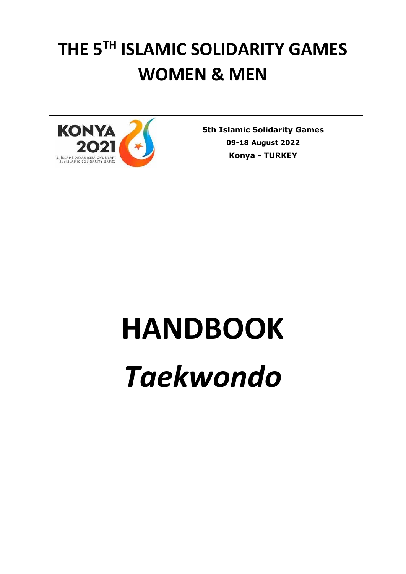# **THE 5TH ISLAMIC SOLIDARITY GAMES WOMEN & MEN**



**5th Islamic Solidarity Games 09-18 August 2022 Konya** *-* **TURKEY**

# **HANDBOOK** *Taekwondo*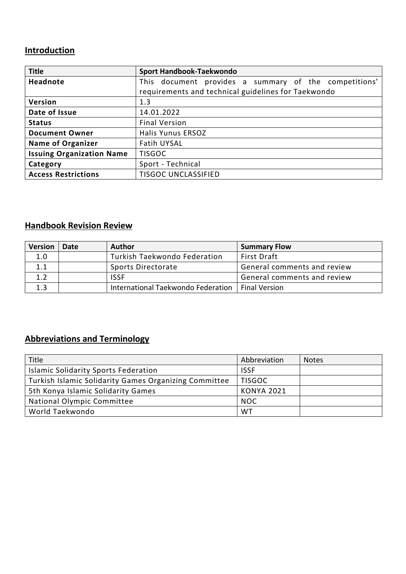## **Introduction**

| <b>Title</b>                     | Sport Handbook-Taekwondo                              |
|----------------------------------|-------------------------------------------------------|
| Headnote                         | This document provides a summary of the competitions' |
|                                  | requirements and technical guidelines for Taekwondo   |
| Version                          | 1.3                                                   |
| Date of Issue                    | 14.01.2022                                            |
| <b>Status</b>                    | <b>Final Version</b>                                  |
| <b>Document Owner</b>            | <b>Halis Yunus ERSOZ</b>                              |
| <b>Name of Organizer</b>         | Fatih UYSAL                                           |
| <b>Issuing Organization Name</b> | <b>TISGOC</b>                                         |
| Category                         | Sport - Technical                                     |
| <b>Access Restrictions</b>       | <b>TISGOC UNCLASSIFIED</b>                            |

## **Handbook Revision Review**

| <b>Version</b> | Date | Author                             | <b>Summary Flow</b>         |
|----------------|------|------------------------------------|-----------------------------|
| 1.0            |      | Turkish Taekwondo Federation       | <b>First Draft</b>          |
| 1.1            |      | Sports Directorate                 | General comments and review |
| 1.2            |      | <b>ISSF</b>                        | General comments and review |
| 1.3            |      | International Taekwondo Federation | <b>Final Version</b>        |

# **Abbreviations and Terminology**

| Title                                                 | Abbreviation      | <b>Notes</b> |
|-------------------------------------------------------|-------------------|--------------|
| Islamic Solidarity Sports Federation                  | <b>ISSF</b>       |              |
| Turkish Islamic Solidarity Games Organizing Committee | <b>TISGOC</b>     |              |
| 5th Konya Islamic Solidarity Games                    | <b>KONYA 2021</b> |              |
| National Olympic Committee                            | <b>NOC</b>        |              |
| World Taekwondo                                       | WT                |              |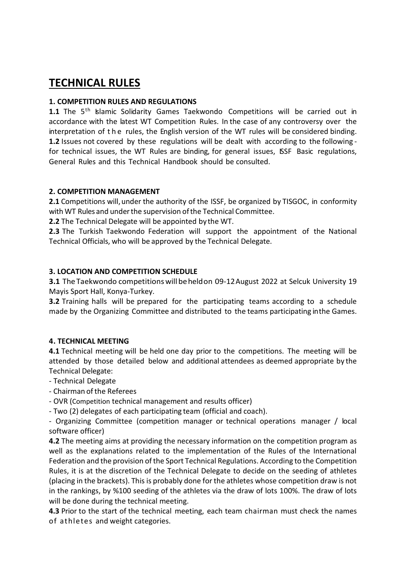# **TECHNICAL RULES**

#### **1. COMPETITION RULES AND REGULATIONS**

1.1 The 5<sup>th</sup> Islamic Solidarity Games Taekwondo Competitions will be carried out in accordance with the latest WT Competition Rules. In the case of any controversy over the interpretation of the rules, the English version of the WT rules will be considered binding. **1.2** Issues not covered by these regulations will be dealt with according to the following for technical issues, the WT Rules are binding, for general issues, ISSF Basic regulations, General Rules and this Technical Handbook should be consulted.

#### **2. COMPETITION MANAGEMENT**

**2.1** Competitions will, under the authority of the ISSF, be organized by TISGOC, in conformity with WT Rules and under the supervision of the Technical Committee.

**2.2** The Technical Delegate will be appointed by the WT.

**2.3** The Turkish Taekwondo Federation will support the appointment of the National Technical Officials, who will be approved by the Technical Delegate.

#### **3. LOCATION AND COMPETITION SCHEDULE**

**3.1** TheTaekwondo competitionswill beheldon 09-12August 2022 at Selcuk University 19 Mayis Sport Hall, Konya-Turkey.

**3.2** Training halls will be prepared for the participating teams according to a schedule made by the Organizing Committee and distributed to the teams participating inthe Games.

#### **4. TECHNICAL MEETING**

**4.1** Technical meeting will be held one day prior to the competitions. The meeting will be attended by those detailed below and additional attendees as deemed appropriate by the Technical Delegate:

- Technical Delegate
- Chairman ofthe Referees
- OVR (Competition technical management and results officer)
- Two (2) delegates of each participating team (official and coach).

- Organizing Committee (competition manager or technical operations manager / local software officer)

**4.2** The meeting aims at providing the necessary information on the competition program as well as the explanations related to the implementation of the Rules of the International Federation and the provision of the Sport Technical Regulations. According to the Competition Rules, it is at the discretion of the Technical Delegate to decide on the seeding of athletes (placing in the brackets). This is probably done for the athletes whose competition draw is not in the rankings, by %100 seeding of the athletes via the draw of lots 100%. The draw of lots will be done during the technical meeting.

**4.3** Prior to the start of the technical meeting, each team chairman must check the names of athletes and weight categories.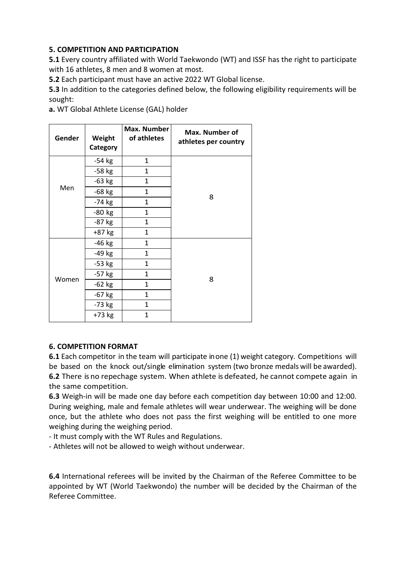#### **5. COMPETITION AND PARTICIPATION**

**5.1** Every country affiliated with World Taekwondo (WT) and ISSF has the right to participate with 16 athletes, 8 men and 8 women at most.

**5.2** Each participant must have an active 2022 WT Global license.

**5.3** In addition to the categories defined below, the following eligibility requirements will be sought:

**a.** WT Global Athlete License (GAL) holder

| Gender | Weight<br>Category | Max. Number<br>of athletes | Max. Number of<br>athletes per country |  |
|--------|--------------------|----------------------------|----------------------------------------|--|
|        | $-54$ kg           | 1                          |                                        |  |
|        | $-58$ kg           | 1                          |                                        |  |
|        | $-63$ kg           | $\mathbf{1}$               |                                        |  |
| Men    | $-68$ kg           | 1                          |                                        |  |
|        | $-74$ kg           | $\mathbf{1}$               | 8                                      |  |
|        | $-80$ kg           | $\mathbf{1}$               |                                        |  |
|        | $-87$ kg           | $\mathbf{1}$               |                                        |  |
|        | +87 kg             | $\mathbf{1}$               |                                        |  |
|        | $-46$ kg           | $\mathbf{1}$               |                                        |  |
|        | $-49$ kg           | $\mathbf{1}$               |                                        |  |
|        | $-53$ kg           | $\mathbf{1}$               |                                        |  |
|        | $-57$ kg           | 1                          |                                        |  |
| Women  | $-62$ kg           | $\mathbf{1}$               | 8                                      |  |
|        | $-67$ kg           | $\mathbf{1}$               |                                        |  |
|        | $-73$ kg           | $\mathbf{1}$               |                                        |  |
|        | +73 kg             | $\mathbf{1}$               |                                        |  |

#### **6. COMPETITION FORMAT**

**6.1** Each competitor in the team will participate inone (1) weight category. Competitions will be based on the knock out/single elimination system (two bronze medals will be awarded). **6.2** There is no repechage system. When athlete is defeated, he cannot compete again in the same competition.

**6.3** Weigh-in will be made one day before each competition day between 10:00 and 12:00. During weighing, male and female athletes will wear underwear. The weighing will be done once, but the athlete who does not pass the first weighing will be entitled to one more weighing during the weighing period.

- It must comply with the WT Rules and Regulations.

- Athletes will not be allowed to weigh without underwear.

**6.4** International referees will be invited by the Chairman of the Referee Committee to be appointed by WT (World Taekwondo) the number will be decided by the Chairman of the Referee Committee.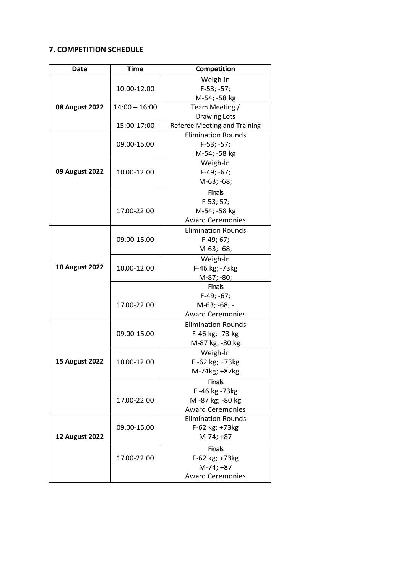#### **7. COMPETITION SCHEDULE**

| <b>Date</b>           | <b>Time</b>     | Competition                         |
|-----------------------|-----------------|-------------------------------------|
|                       |                 | Weigh-in                            |
|                       | 10.00-12.00     | $F-53; -57;$                        |
|                       |                 | M-54; -58 kg                        |
| <b>08 August 2022</b> | $14:00 - 16:00$ | Team Meeting /                      |
|                       |                 | <b>Drawing Lots</b>                 |
|                       | 15:00-17:00     | <b>Referee Meeting and Training</b> |
|                       |                 | <b>Elimination Rounds</b>           |
|                       | 09.00-15.00     | $F-53; -57;$                        |
|                       |                 | M-54; -58 kg                        |
|                       |                 | Weigh-In                            |
| 09 August 2022        | 10.00-12.00     | $F-49; -67;$                        |
|                       |                 | M-63; -68;                          |
|                       |                 | <b>Finals</b>                       |
|                       |                 | $F-53; 57;$                         |
|                       | 17.00-22.00     | M-54; -58 kg                        |
|                       |                 | <b>Award Ceremonies</b>             |
|                       |                 | <b>Elimination Rounds</b>           |
|                       | 09.00-15.00     | F-49; 67;                           |
|                       |                 | M-63; -68;                          |
|                       |                 | Weigh-In                            |
| <b>10 August 2022</b> | 10.00-12.00     | F-46 kg; -73kg                      |
|                       |                 | M-87; -80;                          |
|                       |                 | <b>Finals</b>                       |
|                       | 17.00-22.00     | $F-49; -67;$                        |
|                       |                 | M-63; -68; -                        |
|                       |                 | <b>Award Ceremonies</b>             |
|                       |                 | <b>Elimination Rounds</b>           |
|                       | 09.00-15.00     | F-46 kg; -73 kg                     |
|                       |                 | M-87 kg; -80 kg                     |
|                       | 10.00-12.00     | Weigh-In                            |
| <b>15 August 2022</b> |                 | F-62 kg; +73kg                      |
|                       |                 | M-74kg; +87kg                       |
|                       |                 | <b>Finals</b>                       |
|                       | 17.00-22.00     | F-46 kg-73 kg                       |
|                       |                 | M-87 kg; -80 kg                     |
|                       |                 | <b>Award Ceremonies</b>             |
|                       |                 | <b>Elimination Rounds</b>           |
| <b>12 August 2022</b> | 09.00-15.00     | F-62 kg; +73kg                      |
|                       |                 | M-74; +87                           |
|                       | 17.00-22.00     | <b>Finals</b>                       |
|                       |                 | F-62 kg; +73kg                      |
|                       |                 | M-74; +87                           |
|                       |                 | <b>Award Ceremonies</b>             |